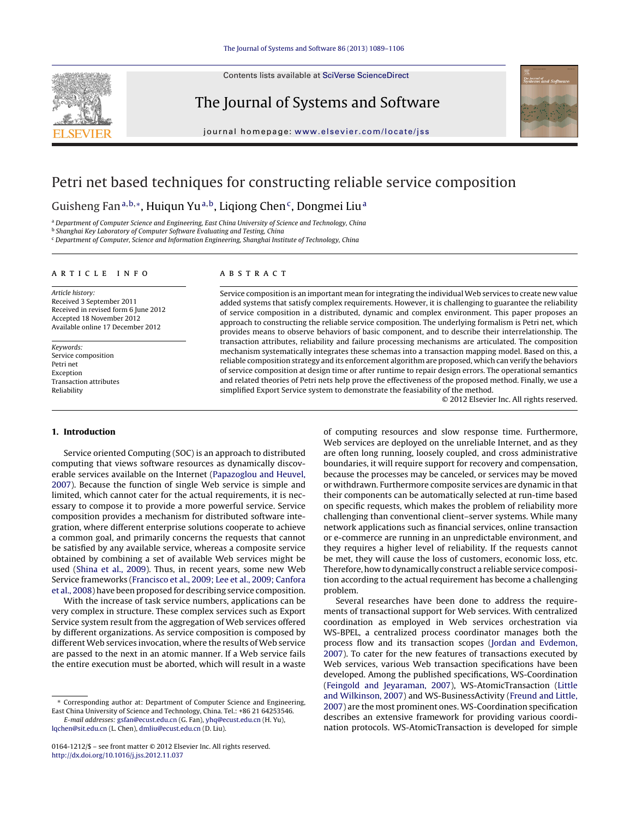

Contents lists available at SciVerse [ScienceDirect](http://www.sciencedirect.com/science/journal/01641212)

The Journal of Systems and Software



iournal homepage: www.elsevier.com/locate/iss

# Petri net based techniques for constructing reliable service composition

Guisheng Fan<sup>a,b,\*</sup>, Huiqun Yu<sup>a,b</sup>, Liqiong Chen<sup>c</sup>, Dongmei Liu<sup>a</sup>

a Department of Computer Science and Engineering, East China University of Science and Technology, China

**b Shanghai Key Laboratory of Computer Software Evaluating and Testing, China** 

<sup>c</sup> Department of Computer, Science and Information Engineering, Shanghai Institute of Technology, China

#### ARTICLE INFO

Article history: Received 3 September 2011 Received in revised form 6 June 2012 Accepted 18 November 2012 Available online 17 December 2012

Keywords: Service composition Petri net Exception Transaction attributes Reliability

## A B S T R A C T

Service composition is an important mean for integrating the individual Web services to create new value added systems that satisfy complex requirements. However, it is challenging to guarantee the reliability of service composition in a distributed, dynamic and complex environment. This paper proposes an approach to constructing the reliable service composition. The underlying formalism is Petri net, which provides means to observe behaviors of basic component, and to describe their interrelationship. The transaction attributes, reliability and failure processing mechanisms are articulated. The composition mechanism systematically integrates these schemas into a transaction mapping model. Based on this, a reliable composition strategy and its enforcement algorithm are proposed, which can verify the behaviors of service composition at design time or after runtime to repair design errors. The operational semantics and related theories of Petri nets help prove the effectiveness of the proposed method. Finally, we use a simplified Export Service system to demonstrate the feasiability of the method.

© 2012 Elsevier Inc. All rights reserved.

#### **1. Introduction**

Service oriented Computing (SOC) is an approach to distributed computing that views software resources as dynamically discoverable services available on the Internet [\(Papazoglou](#page--1-0) [and](#page--1-0) [Heuvel,](#page--1-0) [2007\).](#page--1-0) Because the function of single Web service is simple and limited, which cannot cater for the actual requirements, it is necessary to compose it to provide a more powerful service. Service composition provides a mechanism for distributed software integration, where different enterprise solutions cooperate to achieve a common goal, and primarily concerns the requests that cannot be satisfied by any available service, whereas a composite service obtained by combining a set of available Web services might be used [\(Shina](#page--1-0) et [al.,](#page--1-0) [2009\).](#page--1-0) Thus, in recent years, some new Web Service frameworks ([Francisco](#page--1-0) et [al.,](#page--1-0) [2009;](#page--1-0) [Lee](#page--1-0) et [al.,](#page--1-0) [2009;](#page--1-0) [Canfora](#page--1-0) et [al.,](#page--1-0) [2008\)](#page--1-0) have been proposed for describing service composition.

With the increase of task service numbers, applications can be very complex in structure. These complex services such as Export Service system result from the aggregation of Web services offered by different organizations. As service composition is composed by different Web services invocation, where the results of Web service are passed to the next in an atomic manner. If a Web service fails the entire execution must be aborted, which will result in a waste

of computing resources and slow response time. Furthermore, Web services are deployed on the unreliable Internet, and as they are often long running, loosely coupled, and cross administrative boundaries, it will require support for recovery and compensation, because the processes may be canceled, or services may be moved or withdrawn. Furthermore composite services are dynamic in that their components can be automatically selected at run-time based on specific requests, which makes the problem of reliability more challenging than conventional client–server systems. While many network applications such as financial services, online transaction or e-commerce are running in an unpredictable environment, and they requires a higher level of reliability. If the requests cannot be met, they will cause the loss of customers, economic loss, etc. Therefore, how to dynamically construct a reliable service composition according to the actual requirement has become a challenging problem.

Several researches have been done to address the requirements of transactional support for Web services. With centralized coordination as employed in Web services orchestration via WS-BPEL, a centralized process coordinator manages both the process flow and its transaction scopes [\(Jordan](#page--1-0) [and](#page--1-0) [Evdemon,](#page--1-0) [2007\).](#page--1-0) To cater for the new features of transactions executed by Web services, various Web transaction specifications have been developed. Among the published specifications, WS-Coordination [\(Feingold](#page--1-0) [and](#page--1-0) [Jeyaraman,](#page--1-0) [2007\),](#page--1-0) WS-AtomicTransaction [\(Little](#page--1-0) [and](#page--1-0) [Wilkinson,](#page--1-0) [2007\)](#page--1-0) and WS-BusinessActivity ([Freund](#page--1-0) [and](#page--1-0) [Little,](#page--1-0) [2007\)](#page--1-0) are the most prominent ones. WS-Coordination specification describes an extensive framework for providing various coordination protocols. WS-AtomicTransaction is developed for simple

<sup>∗</sup> Corresponding author at: Department of Computer Science and Engineering, East China University of Science and Technology, China. Tel.: +86 21 64253546.

E-mail addresses: [gsfan@ecust.edu.cn](mailto:gsfan@ecust.edu.cn) (G. Fan), [yhq@ecust.edu.cn](mailto:yhq@ecust.edu.cn) (H. Yu), [lqchen@sit.edu.cn](mailto:lqchen@sit.edu.cn) (L. Chen), [dmliu@ecust.edu.cn](mailto:dmliu@ecust.edu.cn) (D. Liu).

<sup>0164-1212/\$</sup> – see front matter © 2012 Elsevier Inc. All rights reserved. [http://dx.doi.org/10.1016/j.jss.2012.11.037](dx.doi.org/10.1016/j.jss.2012.11.037)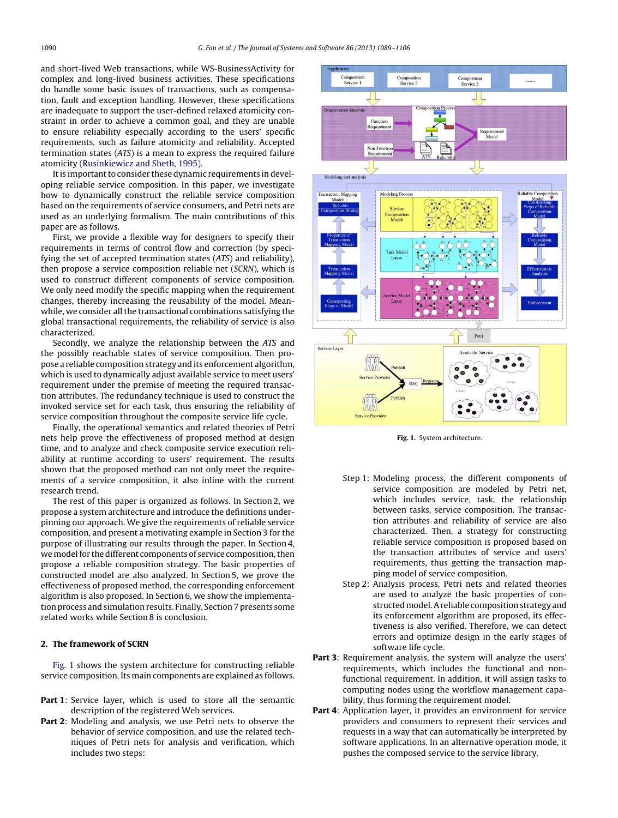and short-lived Web transactions, while WS-BusinessActivity for complex and long-lived business activities. These specifications do handle some basic issues of transactions, such as compensation, fault and exception handling. However, these specifications are inadequate to support the user-defined relaxed atomicity constraint in order to achieve a common goal, and they are unable to ensure reliability especially according to the users' specific requirements, such as failure atomicity and reliability. Accepted termination states (ATS) is a mean to express the required failure atomicity [\(Rusinkiewicz](#page--1-0) [and](#page--1-0) [Sheth,](#page--1-0) [1995\).](#page--1-0)

It is important to consider these dynamic requirements in developing reliable service composition. In this paper, we investigate how to dynamically construct the reliable service composition based on the requirements of service consumers, and Petri nets are used as an underlying formalism. The main contributions of this paper are as follows.

First, we provide a flexible way for designers to specify their requirements in terms of control flow and correction (by specifying the set of accepted termination states (ATS) and reliability), then propose a service composition reliable net (SCRN), which is used to construct different components of service composition. We only need modify the specific mapping when the requirement changes, thereby increasing the reusability of the model. Meanwhile, we consider all the transactional combinations satisfying the global transactional requirements, the reliability of service is also characterized.

Secondly, we analyze the relationship between the ATS and the possibly reachable states of service composition. Then propose a reliable composition strategy and its enforcement algorithm, which is used to dynamically adjust available service to meet users' requirement under the premise of meeting the required transaction attributes. The redundancy technique is used to construct the invoked service set for each task, thus ensuring the reliability of service composition throughout the composite service life cycle.

Finally, the operational semantics and related theories of Petri nets help prove the effectiveness of proposed method at design time, and to analyze and check composite service execution reliability at runtime according to users' requirement. The results shown that the proposed method can not only meet the requirements of a service composition, it also inline with the current research trend.

The rest of this paper is organized as follows. In Section 2, we propose a system architecture and introduce the definitions underpinning our approach. We give the requirements of reliable service composition, and present a motivating example in Section [3](#page--1-0) for the purpose of illustrating our results through the paper. In Section [4,](#page--1-0) we model for the different components of service composition, then propose a reliable composition strategy. The basic properties of constructed model are also analyzed. In Section [5,](#page--1-0) we prove the effectiveness of proposed method, the corresponding enforcement algorithm is also proposed. In Section [6,](#page--1-0) we show the implementa-tion process and simulation results. Finally, Section [7](#page--1-0) presents some related works while Section [8](#page--1-0) is conclusion.

## **2. The framework of SCRN**

Fig. 1 shows the system architecture for constructing reliable service composition. Its main components are explained as follows.

- **Part 1**: Service layer, which is used to store all the semantic description of the registered Web services.
- **Part 2**: Modeling and analysis, we use Petri nets to observe the behavior of service composition, and use the related techniques of Petri nets for analysis and verification, which includes two steps:



**Fig. 1.** System architecture.

- Step 1: Modeling process, the different components of service composition are modeled by Petri net, which includes service, task, the relationship between tasks, service composition. The transaction attributes and reliability of service are also characterized. Then, a strategy for constructing reliable service composition is proposed based on the transaction attributes of service and users' requirements, thus getting the transaction mapping model of service composition.
- Step 2: Analysis process, Petri nets and related theories are used to analyze the basic properties of constructed model. A reliable composition strategy and its enforcement algorithm are proposed, its effectiveness is also verified. Therefore, we can detect errors and optimize design in the early stages of software life cycle.
- **Part 3**: Requirement analysis, the system will analyze the users' requirements, which includes the functional and nonfunctional requirement. In addition, it will assign tasks to computing nodes using the workflow management capability, thus forming the requirement model.
- **Part 4**: Application layer, it provides an environment for service providers and consumers to represent their services and requests in a way that can automatically be interpreted by software applications. In an alternative operation mode, it pushes the composed service to the service library.